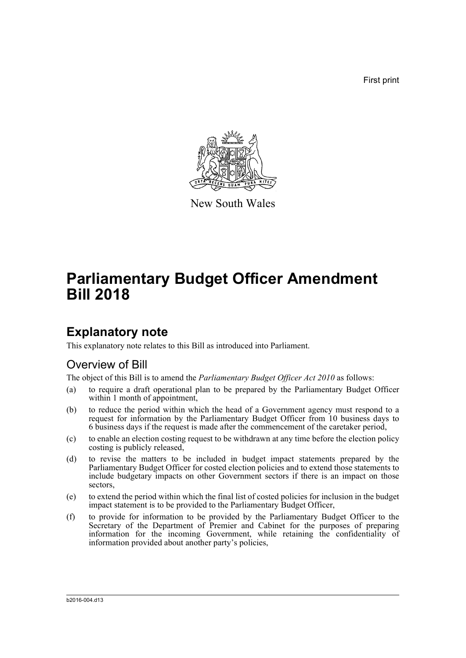First print



New South Wales

# **Parliamentary Budget Officer Amendment Bill 2018**

## **Explanatory note**

This explanatory note relates to this Bill as introduced into Parliament.

### Overview of Bill

The object of this Bill is to amend the *Parliamentary Budget Officer Act 2010* as follows:

- (a) to require a draft operational plan to be prepared by the Parliamentary Budget Officer within 1 month of appointment,
- (b) to reduce the period within which the head of a Government agency must respond to a request for information by the Parliamentary Budget Officer from 10 business days to 6 business days if the request is made after the commencement of the caretaker period,
- (c) to enable an election costing request to be withdrawn at any time before the election policy costing is publicly released,
- (d) to revise the matters to be included in budget impact statements prepared by the Parliamentary Budget Officer for costed election policies and to extend those statements to include budgetary impacts on other Government sectors if there is an impact on those sectors,
- (e) to extend the period within which the final list of costed policies for inclusion in the budget impact statement is to be provided to the Parliamentary Budget Officer,
- (f) to provide for information to be provided by the Parliamentary Budget Officer to the Secretary of the Department of Premier and Cabinet for the purposes of preparing information for the incoming Government, while retaining the confidentiality of information provided about another party's policies,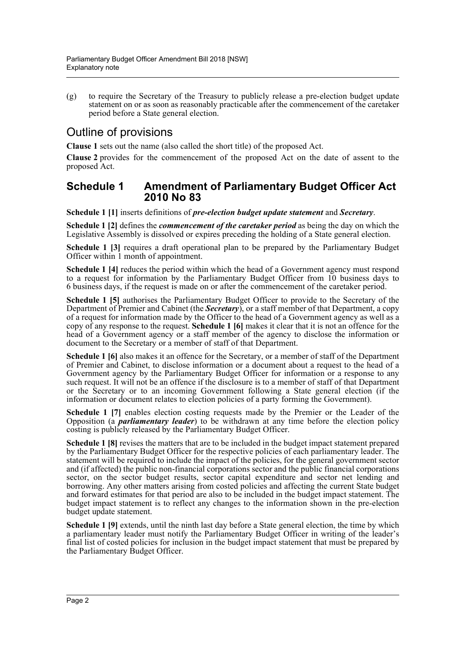(g) to require the Secretary of the Treasury to publicly release a pre-election budget update statement on or as soon as reasonably practicable after the commencement of the caretaker period before a State general election.

## Outline of provisions

**Clause 1** sets out the name (also called the short title) of the proposed Act.

**Clause 2** provides for the commencement of the proposed Act on the date of assent to the proposed Act.

#### **Schedule 1 Amendment of Parliamentary Budget Officer Act 2010 No 83**

**Schedule 1 [1]** inserts definitions of *pre-election budget update statement* and *Secretary*.

**Schedule 1 [2]** defines the *commencement of the caretaker period* as being the day on which the Legislative Assembly is dissolved or expires preceding the holding of a State general election.

**Schedule 1 [3]** requires a draft operational plan to be prepared by the Parliamentary Budget Officer within 1 month of appointment.

**Schedule 1 [4]** reduces the period within which the head of a Government agency must respond to a request for information by the Parliamentary Budget Officer from 10 business days to 6 business days, if the request is made on or after the commencement of the caretaker period.

**Schedule 1 [5]** authorises the Parliamentary Budget Officer to provide to the Secretary of the Department of Premier and Cabinet (the *Secretary*), or a staff member of that Department, a copy of a request for information made by the Officer to the head of a Government agency as well as a copy of any response to the request. **Schedule 1 [6]** makes it clear that it is not an offence for the head of a Government agency or a staff member of the agency to disclose the information or document to the Secretary or a member of staff of that Department.

**Schedule 1 [6]** also makes it an offence for the Secretary, or a member of staff of the Department of Premier and Cabinet, to disclose information or a document about a request to the head of a Government agency by the Parliamentary Budget Officer for information or a response to any such request. It will not be an offence if the disclosure is to a member of staff of that Department or the Secretary or to an incoming Government following a State general election (if the information or document relates to election policies of a party forming the Government).

**Schedule 1 [7]** enables election costing requests made by the Premier or the Leader of the Opposition (a *parliamentary leader*) to be withdrawn at any time before the election policy costing is publicly released by the Parliamentary Budget Officer.

**Schedule 1 [8]** revises the matters that are to be included in the budget impact statement prepared by the Parliamentary Budget Officer for the respective policies of each parliamentary leader. The statement will be required to include the impact of the policies, for the general government sector and (if affected) the public non-financial corporations sector and the public financial corporations sector, on the sector budget results, sector capital expenditure and sector net lending and borrowing. Any other matters arising from costed policies and affecting the current State budget and forward estimates for that period are also to be included in the budget impact statement. The budget impact statement is to reflect any changes to the information shown in the pre-election budget update statement.

**Schedule 1 [9]** extends, until the ninth last day before a State general election, the time by which a parliamentary leader must notify the Parliamentary Budget Officer in writing of the leader's final list of costed policies for inclusion in the budget impact statement that must be prepared by the Parliamentary Budget Officer.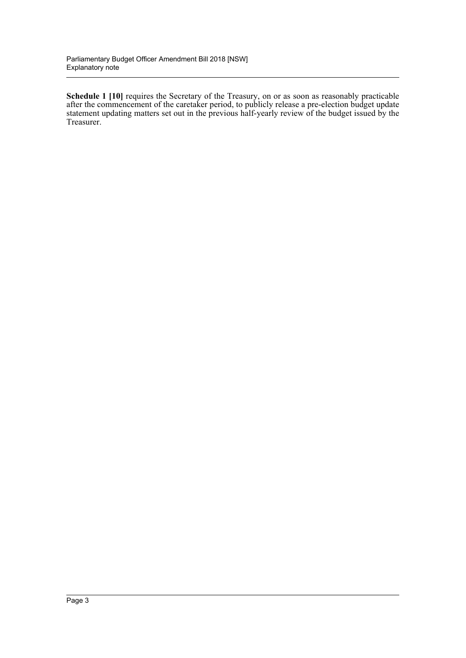**Schedule 1 [10]** requires the Secretary of the Treasury, on or as soon as reasonably practicable after the commencement of the caretaker period, to publicly release a pre-election budget update statement updating matters set out in the previous half-yearly review of the budget issued by the Treasurer.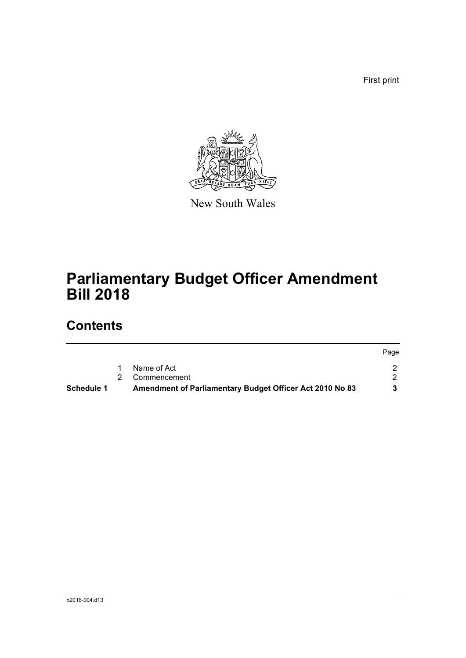First print



New South Wales

# **Parliamentary Budget Officer Amendment Bill 2018**

## **Contents**

|            |                                                          | Page |
|------------|----------------------------------------------------------|------|
|            | Name of Act                                              |      |
|            | 2 Commencement                                           |      |
| Schedule 1 | Amendment of Parliamentary Budget Officer Act 2010 No 83 |      |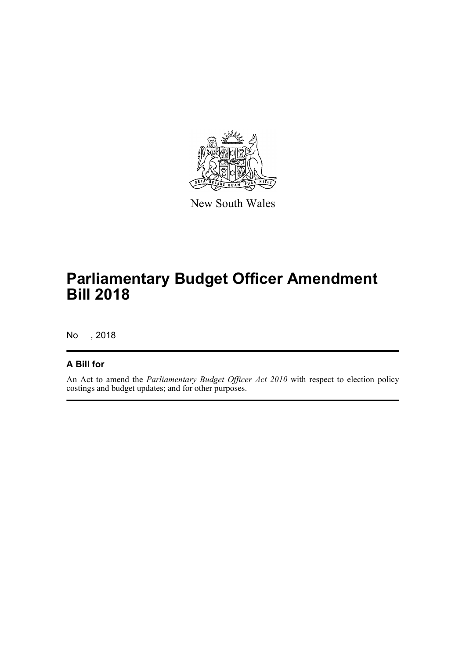

New South Wales

# **Parliamentary Budget Officer Amendment Bill 2018**

No , 2018

#### **A Bill for**

An Act to amend the *Parliamentary Budget Officer Act 2010* with respect to election policy costings and budget updates; and for other purposes.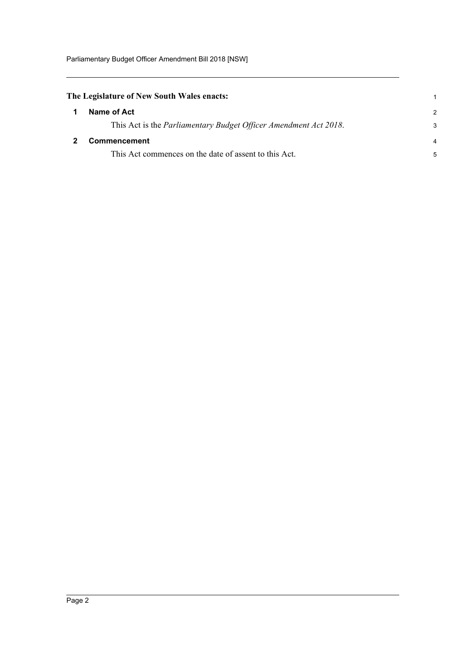<span id="page-5-1"></span><span id="page-5-0"></span>

| The Legislature of New South Wales enacts: |                                                                          |   |
|--------------------------------------------|--------------------------------------------------------------------------|---|
|                                            | Name of Act                                                              | 2 |
|                                            | This Act is the <i>Parliamentary Budget Officer Amendment Act 2018</i> . |   |
|                                            | <b>Commencement</b>                                                      |   |
|                                            | This Act commences on the date of assent to this Act.                    |   |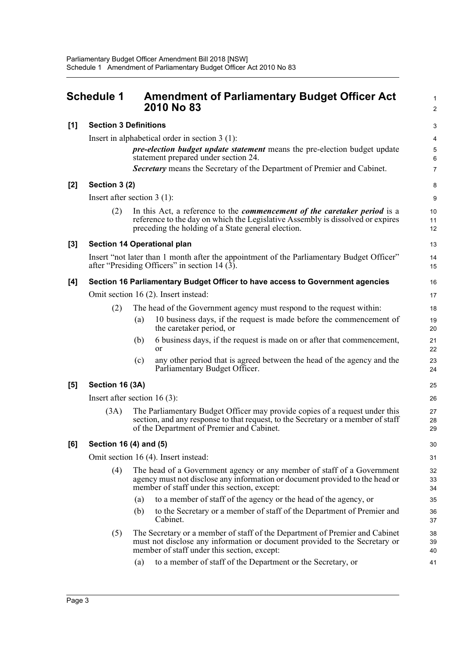<span id="page-6-0"></span>

|       | <b>Schedule 1</b>                                                                                                                          | <b>Amendment of Parliamentary Budget Officer Act</b><br>2010 No 83                                                                                                                                                       | $\mathbf{1}$<br>$\overline{2}$ |  |
|-------|--------------------------------------------------------------------------------------------------------------------------------------------|--------------------------------------------------------------------------------------------------------------------------------------------------------------------------------------------------------------------------|--------------------------------|--|
| [1]   | <b>Section 3 Definitions</b>                                                                                                               |                                                                                                                                                                                                                          | 3                              |  |
|       |                                                                                                                                            | Insert in alphabetical order in section $3(1)$ :                                                                                                                                                                         | 4                              |  |
|       |                                                                                                                                            | pre-election budget update statement means the pre-election budget update<br>statement prepared under section 24.                                                                                                        | 5<br>6                         |  |
|       |                                                                                                                                            | Secretary means the Secretary of the Department of Premier and Cabinet.                                                                                                                                                  | $\overline{7}$                 |  |
| $[2]$ | Section 3 (2)                                                                                                                              |                                                                                                                                                                                                                          | 8                              |  |
|       | Insert after section $3(1)$ :                                                                                                              |                                                                                                                                                                                                                          |                                |  |
|       | (2)                                                                                                                                        | In this Act, a reference to the <i>commencement of the caretaker period</i> is a<br>reference to the day on which the Legislative Assembly is dissolved or expires<br>preceding the holding of a State general election. | 10<br>11<br>12                 |  |
| $[3]$ |                                                                                                                                            | <b>Section 14 Operational plan</b>                                                                                                                                                                                       | 13                             |  |
|       | Insert "not later than 1 month after the appointment of the Parliamentary Budget Officer"<br>after "Presiding Officers" in section 14 (3). |                                                                                                                                                                                                                          |                                |  |
| [4]   | Section 16 Parliamentary Budget Officer to have access to Government agencies                                                              |                                                                                                                                                                                                                          |                                |  |
|       | Omit section 16 (2). Insert instead:                                                                                                       |                                                                                                                                                                                                                          |                                |  |
|       | (2)                                                                                                                                        | The head of the Government agency must respond to the request within:                                                                                                                                                    | 18                             |  |
|       |                                                                                                                                            | 10 business days, if the request is made before the commencement of<br>(a)<br>the caretaker period, or                                                                                                                   | 19<br>20                       |  |
|       |                                                                                                                                            | 6 business days, if the request is made on or after that commencement,<br>(b)<br><b>or</b>                                                                                                                               | 21<br>22                       |  |
|       |                                                                                                                                            | any other period that is agreed between the head of the agency and the<br>(c)<br>Parliamentary Budget Officer.                                                                                                           | 23<br>24                       |  |
| $[5]$ | Section 16 (3A)                                                                                                                            |                                                                                                                                                                                                                          | 25                             |  |
|       | Insert after section $16(3)$ :                                                                                                             |                                                                                                                                                                                                                          |                                |  |
|       | (3A)                                                                                                                                       | The Parliamentary Budget Officer may provide copies of a request under this<br>section, and any response to that request, to the Secretary or a member of staff<br>of the Department of Premier and Cabinet.             | 27<br>28<br>29                 |  |
| [6]   | Section 16 (4) and (5)                                                                                                                     |                                                                                                                                                                                                                          |                                |  |
|       | Omit section 16 (4). Insert instead:                                                                                                       |                                                                                                                                                                                                                          |                                |  |
|       | (4)                                                                                                                                        | The head of a Government agency or any member of staff of a Government<br>agency must not disclose any information or document provided to the head or<br>member of staff under this section, except:                    | 32<br>33<br>34                 |  |
|       |                                                                                                                                            | to a member of staff of the agency or the head of the agency, or<br>(a)                                                                                                                                                  | 35                             |  |
|       |                                                                                                                                            | to the Secretary or a member of staff of the Department of Premier and<br>(b)<br>Cabinet.                                                                                                                                | 36<br>37                       |  |
|       | (5)                                                                                                                                        | The Secretary or a member of staff of the Department of Premier and Cabinet<br>must not disclose any information or document provided to the Secretary or<br>member of staff under this section, except:                 | 38<br>39<br>40                 |  |
|       |                                                                                                                                            | to a member of staff of the Department or the Secretary, or<br>(a)                                                                                                                                                       | 41                             |  |
|       |                                                                                                                                            |                                                                                                                                                                                                                          |                                |  |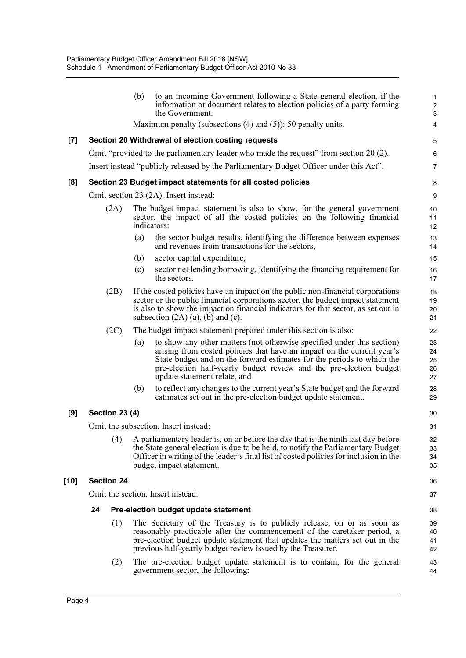|       |                       | (b) | to an incoming Government following a State general election, if the<br>information or document relates to election policies of a party forming<br>the Government.                                                                                                                                                               | $\mathbf{1}$<br>$\overline{\mathbf{c}}$<br>3 |
|-------|-----------------------|-----|----------------------------------------------------------------------------------------------------------------------------------------------------------------------------------------------------------------------------------------------------------------------------------------------------------------------------------|----------------------------------------------|
|       |                       |     | Maximum penalty (subsections $(4)$ and $(5)$ ): 50 penalty units.                                                                                                                                                                                                                                                                | 4                                            |
| $[7]$ |                       |     | Section 20 Withdrawal of election costing requests                                                                                                                                                                                                                                                                               | 5                                            |
|       |                       |     | Omit "provided to the parliamentary leader who made the request" from section 20 (2).                                                                                                                                                                                                                                            | 6                                            |
|       |                       |     | Insert instead "publicly released by the Parliamentary Budget Officer under this Act".                                                                                                                                                                                                                                           | $\overline{7}$                               |
| [8]   |                       |     | Section 23 Budget impact statements for all costed policies                                                                                                                                                                                                                                                                      | 8                                            |
|       |                       |     | Omit section 23 (2A). Insert instead:                                                                                                                                                                                                                                                                                            | 9                                            |
|       | (2A)                  |     | The budget impact statement is also to show, for the general government<br>sector, the impact of all the costed policies on the following financial<br>indicators:                                                                                                                                                               | 10<br>11<br>12                               |
|       |                       | (a) | the sector budget results, identifying the difference between expenses<br>and revenues from transactions for the sectors,                                                                                                                                                                                                        | 13<br>14                                     |
|       |                       | (b) | sector capital expenditure,                                                                                                                                                                                                                                                                                                      | 15                                           |
|       |                       | (c) | sector net lending/borrowing, identifying the financing requirement for<br>the sectors.                                                                                                                                                                                                                                          | 16<br>17                                     |
|       | (2B)                  |     | If the costed policies have an impact on the public non-financial corporations<br>sector or the public financial corporations sector, the budget impact statement<br>is also to show the impact on financial indicators for that sector, as set out in<br>subsection $(2A)$ $(a)$ , $(b)$ and $(c)$ .                            | 18<br>19<br>20<br>21                         |
|       | (2C)                  |     | The budget impact statement prepared under this section is also:                                                                                                                                                                                                                                                                 | 22                                           |
|       |                       | (a) | to show any other matters (not otherwise specified under this section)<br>arising from costed policies that have an impact on the current year's<br>State budget and on the forward estimates for the periods to which the<br>pre-election half-yearly budget review and the pre-election budget<br>update statement relate, and | 23<br>24<br>25<br>26<br>27                   |
|       |                       | (b) | to reflect any changes to the current year's State budget and the forward<br>estimates set out in the pre-election budget update statement.                                                                                                                                                                                      | 28<br>29                                     |
| [9]   | <b>Section 23 (4)</b> |     |                                                                                                                                                                                                                                                                                                                                  | 30                                           |
|       |                       |     | Omit the subsection. Insert instead:                                                                                                                                                                                                                                                                                             | 31                                           |
|       |                       |     | (4) A parliamentary leader is, on or before the day that is the ninth last day before<br>the State general election is due to be held, to notify the Parliamentary Budget<br>Officer in writing of the leader's final list of costed policies for inclusion in the<br>budget impact statement.                                   | 32<br>33<br>34<br>35                         |
| [10]  | <b>Section 24</b>     |     |                                                                                                                                                                                                                                                                                                                                  | 36                                           |
|       |                       |     | Omit the section. Insert instead:                                                                                                                                                                                                                                                                                                | 37                                           |
|       | 24                    |     | Pre-election budget update statement                                                                                                                                                                                                                                                                                             | 38                                           |
|       | (1)                   |     | The Secretary of the Treasury is to publicly release, on or as soon as<br>reasonably practicable after the commencement of the caretaker period, a<br>pre-election budget update statement that updates the matters set out in the<br>previous half-yearly budget review issued by the Treasurer.                                | 39<br>40<br>41<br>42                         |
|       | (2)                   |     | The pre-election budget update statement is to contain, for the general<br>government sector, the following:                                                                                                                                                                                                                     | 43<br>44                                     |